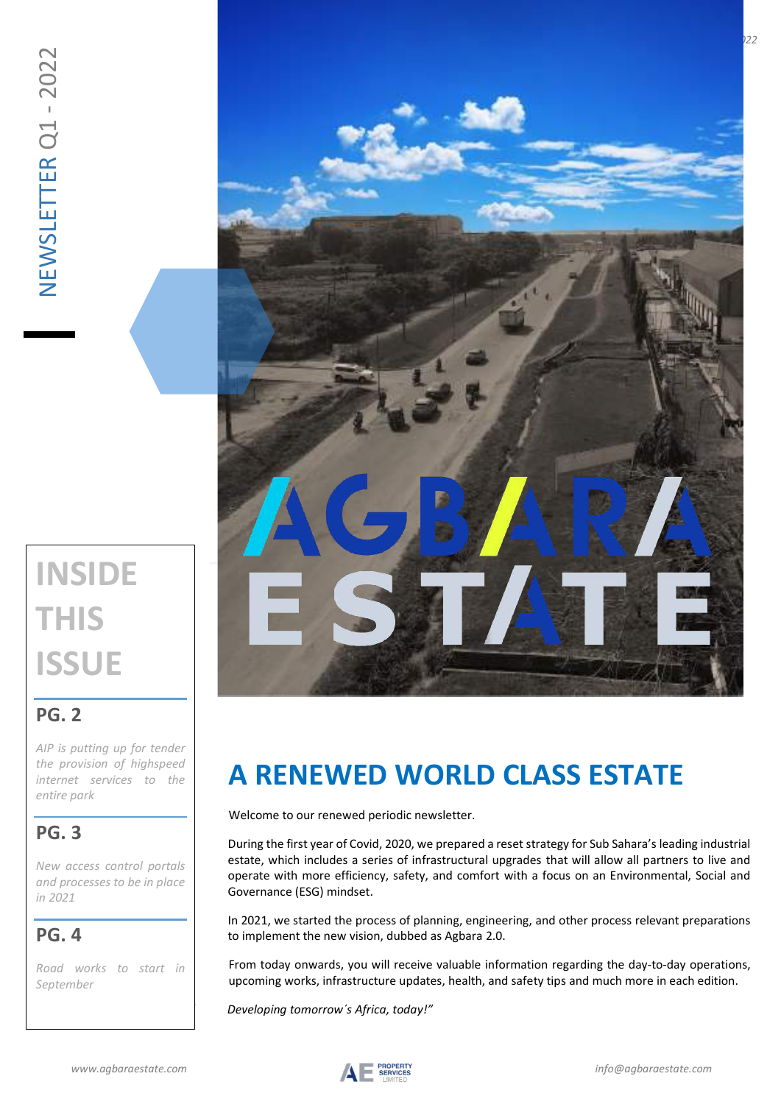### **INSIDE THIS ISSUE**

### **PG. 2**

*AIP is putting up for tender the provision of highspeed internet services to the entire park*

### **PG. 3**

*New access control portals and processes to be in place in 2021*

**PG. 4**

*Road works to start in September*



### **A RENEWED WORLD CLASS ESTATE**

Welcome to our renewed periodic newsletter.

During the first year of Covid, 2020, we prepared a reset strategy for Sub Sahara's leading industrial estate, which includes a series of infrastructural upgrades that will allow all partners to live and operate with more efficiency, safety, and comfort with a focus on an Environmental, Social and Governance (ESG) mindset.

In 2021, we started the process of planning, engineering, and other process relevant preparations to implement the new vision, dubbed as Agbara 2.0.

From today onwards, you will receive valuable information regarding the day-to-day operations, upcoming works, infrastructure updates, health, and safety tips and much more in each edition.

*" Developing tomorrow´s Africa, today!"*

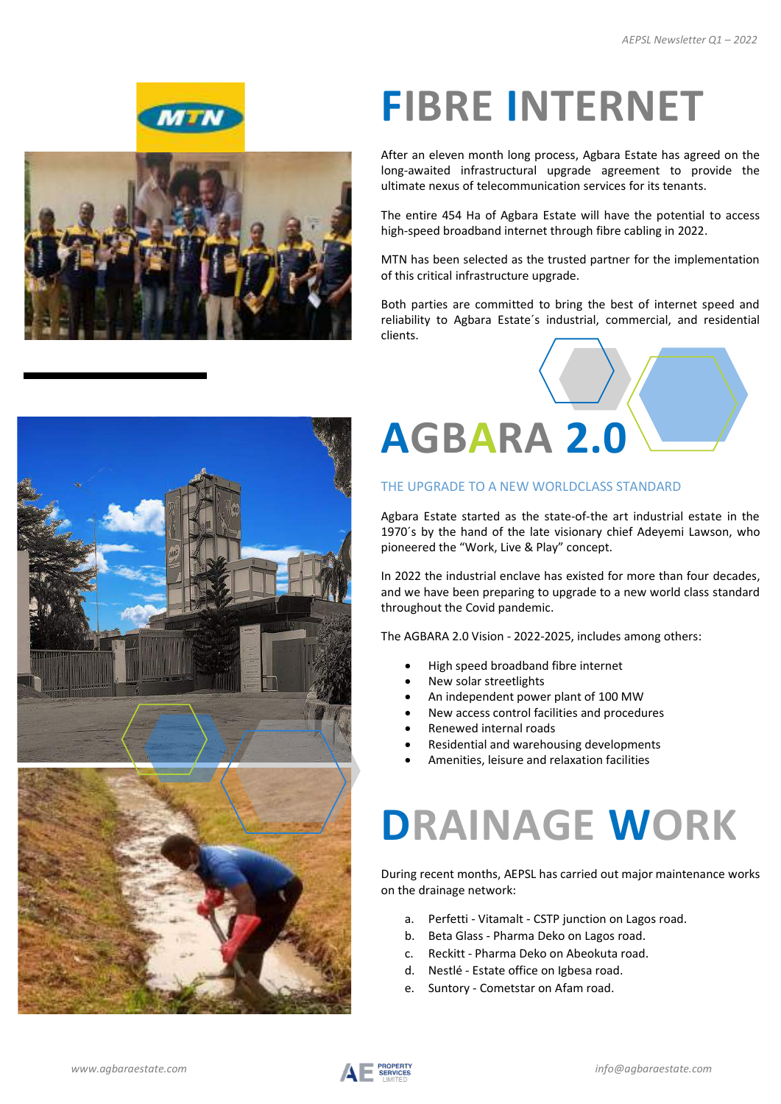



## **FIBRE INTERNET**

After an eleven month long process, Agbara Estate has agreed on the long-awaited infrastructural upgrade agreement to provide the ultimate nexus of telecommunication services for its tenants.

The entire 454 Ha of Agbara Estate will have the potential to access high-speed broadband internet through fibre cabling in 2022.

MTN has been selected as the trusted partner for the implementation of this critical infrastructure upgrade.

Both parties are committed to bring the best of internet speed and reliability to Agbara Estate´s industrial, commercial, and residential clients.



### THE UPGRADE TO A NEW WORLDCLASS STANDARD

Agbara Estate started as the state-of-the art industrial estate in the 1970´s by the hand of the late visionary chief Adeyemi Lawson, who pioneered the "Work, Live & Play" concept.

In 2022 the industrial enclave has existed for more than four decades, and we have been preparing to upgrade to a new world class standard throughout the Covid pandemic.

The AGBARA 2.0 Vision - 2022-2025, includes among others:

- High speed broadband fibre internet
- New solar streetlights
- An independent power plant of 100 MW
- New access control facilities and procedures
- Renewed internal roads
- Residential and warehousing developments
- Amenities, leisure and relaxation facilities

## **DRAINAGE WORK**

During recent months, AEPSL has carried out major maintenance works on the drainage network:

- a. Perfetti Vitamalt CSTP junction on Lagos road.
- b. Beta Glass Pharma Deko on Lagos road.
- c. Reckitt Pharma Deko on Abeokuta road.
- d. Nestlé Estate office on Igbesa road.
- e. Suntory Cometstar on Afam road.





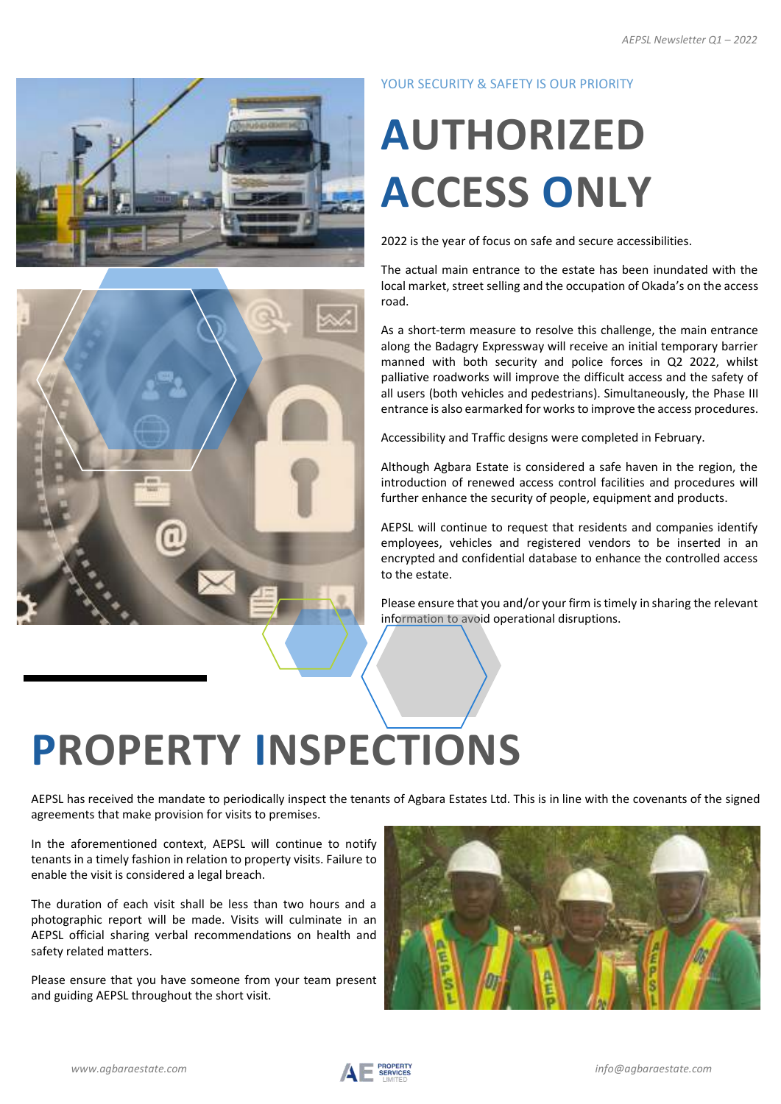

### YOUR SECURITY & SAFETY IS OUR PRIORITY

# **AUTHORIZED ACCESS ONLY**

2022 is the year of focus on safe and secure accessibilities.

The actual main entrance to the estate has been inundated with the local market, street selling and the occupation of Okada's on the access road.

As a short-term measure to resolve this challenge, the main entrance along the Badagry Expressway will receive an initial temporary barrier manned with both security and police forces in Q2 2022, whilst palliative roadworks will improve the difficult access and the safety of all users (both vehicles and pedestrians). Simultaneously, the Phase III entrance is also earmarked for works to improve the access procedures.

Accessibility and Traffic designs were completed in February.

Although Agbara Estate is considered a safe haven in the region, the introduction of renewed access control facilities and procedures will further enhance the security of people, equipment and products.

AEPSL will continue to request that residents and companies identify employees, vehicles and registered vendors to be inserted in an encrypted and confidential database to enhance the controlled access to the estate.

Please ensure that you and/or your firm is timely in sharing the relevant information to avoid operational disruptions.

# **PROPERTY INSPECTIONS**

AEPSL has received the mandate to periodically inspect the tenants of Agbara Estates Ltd. This is in line with the covenants of the signed agreements that make provision for visits to premises.

In the aforementioned context, AEPSL will continue to notify tenants in a timely fashion in relation to property visits. Failure to enable the visit is considered a legal breach.

The duration of each visit shall be less than two hours and a photographic report will be made. Visits will culminate in an AEPSL official sharing verbal recommendations on health and safety related matters.

Please ensure that you have someone from your team present and guiding AEPSL throughout the short visit.



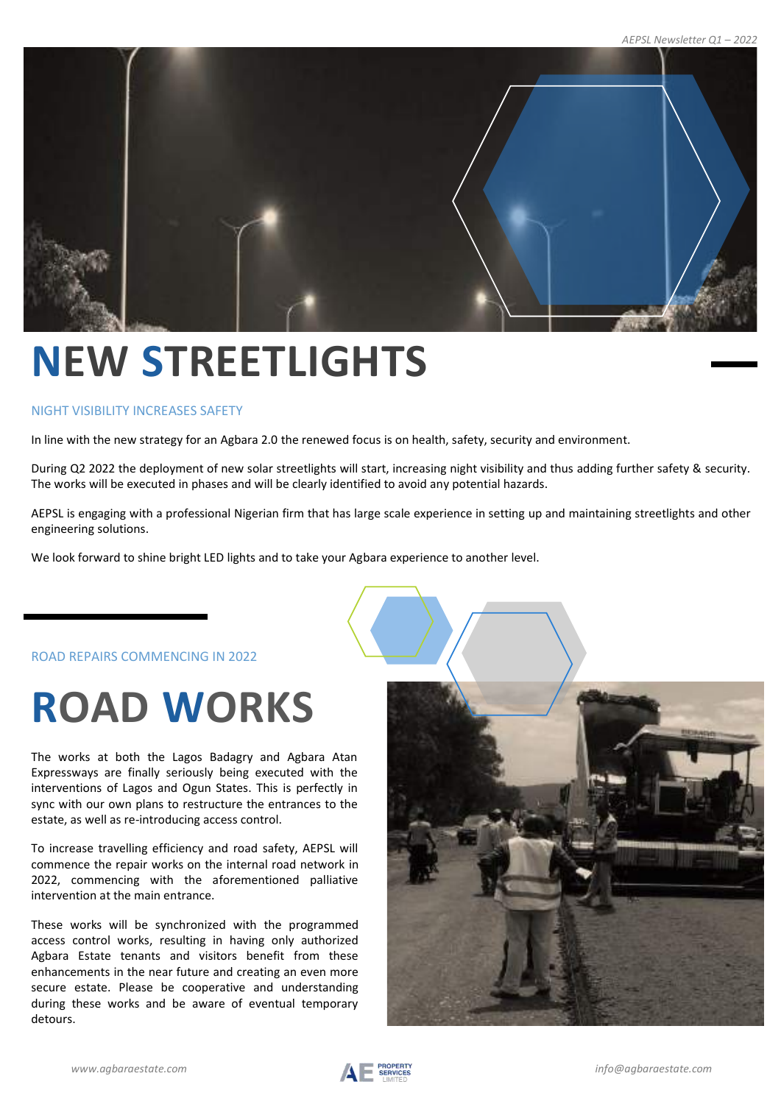

### **NEW STREETLIGHTS**

#### NIGHT VISIBILITY INCREASES SAFETY

In line with the new strategy for an Agbara 2.0 the renewed focus is on health, safety, security and environment.

During Q2 2022 the deployment of new solar streetlights will start, increasing night visibility and thus adding further safety & security. The works will be executed in phases and will be clearly identified to avoid any potential hazards.

AEPSL is engaging with a professional Nigerian firm that has large scale experience in setting up and maintaining streetlights and other engineering solutions.

We look forward to shine bright LED lights and to take your Agbara experience to another level.

#### ROAD REPAIRS COMMENCING IN 2022

## **ROAD WORKS**

The works at both the Lagos Badagry and Agbara Atan Expressways are finally seriously being executed with the interventions of Lagos and Ogun States. This is perfectly in sync with our own plans to restructure the entrances to the estate, as well as re-introducing access control.

To increase travelling efficiency and road safety, AEPSL will commence the repair works on the internal road network in 2022, commencing with the aforementioned palliative intervention at the main entrance.

These works will be synchronized with the programmed access control works, resulting in having only authorized Agbara Estate tenants and visitors benefit from these enhancements in the near future and creating an even more secure estate. Please be cooperative and understanding during these works and be aware of eventual temporary detours.



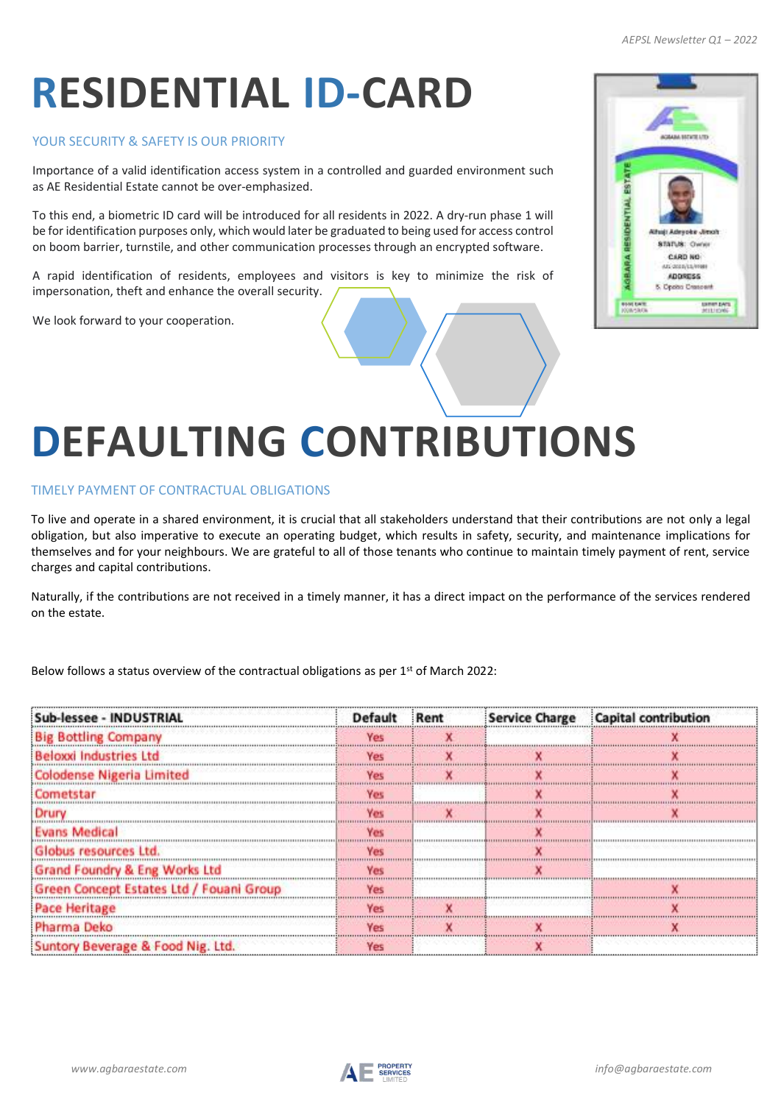## **RESIDENTIAL ID-CARD**

### YOUR SECURITY & SAFETY IS OUR PRIORITY

Importance of a valid identification access system in a controlled and guarded environment such as AE Residential Estate cannot be over-emphasized.

To this end, a biometric ID card will be introduced for all residents in 2022. A dry-run phase 1 will be for identification purposes only, which would later be graduated to being used for access control on boom barrier, turnstile, and other communication processes through an encrypted software.

A rapid identification of residents, employees and visitors is key to minimize the risk of impersonation, theft and enhance the overall security.

We look forward to your cooperation.



## **DEFAULTING CONTRIBUTIONS**

#### TIMELY PAYMENT OF CONTRACTUAL OBLIGATIONS

To live and operate in a shared environment, it is crucial that all stakeholders understand that their contributions are not only a legal obligation, but also imperative to execute an operating budget, which results in safety, security, and maintenance implications for themselves and for your neighbours. We are grateful to all of those tenants who continue to maintain timely payment of rent, service charges and capital contributions.

Naturally, if the contributions are not received in a timely manner, it has a direct impact on the performance of the services rendered on the estate.

Below follows a status overview of the contractual obligations as per  $1<sup>st</sup>$  of March 2022:

| Sub-lessee - INDUSTRIAL                  | Default                        | Rent | <b>Service Charge</b> | Capital contribution |
|------------------------------------------|--------------------------------|------|-----------------------|----------------------|
| <b>Big Bottling Company</b>              |                                |      |                       |                      |
| seloxxi Industries Ltd                   |                                |      |                       |                      |
| Colodense Nigeria Limited                | ****************************** |      |                       |                      |
| <b>Cometstar</b>                         | V m                            |      |                       |                      |
| <b>Drury</b>                             |                                |      |                       |                      |
| Medical                                  |                                |      |                       |                      |
| is resources Ltd.                        |                                |      |                       |                      |
| and Foundry & Eng Works Ltd              |                                |      |                       |                      |
| Green Concept Estates Ltd / Fouani Group |                                |      |                       |                      |
| <b>Pace Heritage</b>                     |                                |      |                       |                      |
| Pharma Deko                              |                                |      |                       |                      |
| Suntory Beverage & Food Nig. Ltd.        |                                |      |                       |                      |